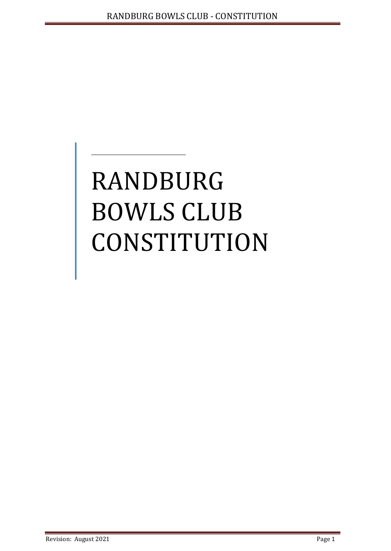# RANDBURG BOWLS CLUB **CONSTITUTION**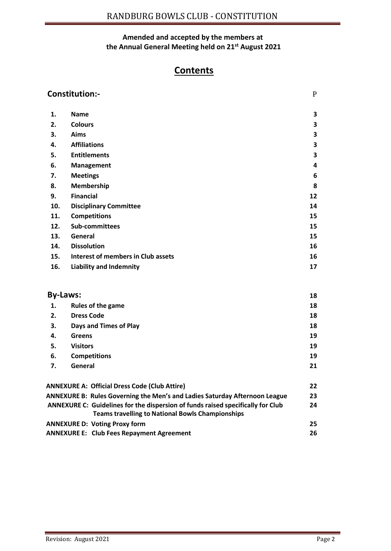## **Amended and accepted by the members at the Annual General Meeting held on 21st August 2021**

# **Contents**

| <b>Constitution:-</b>                                                                    |                                                                                 | $\mathbf{P}$ |
|------------------------------------------------------------------------------------------|---------------------------------------------------------------------------------|--------------|
| 1.                                                                                       | <b>Name</b>                                                                     | 3            |
| 2.                                                                                       | <b>Colours</b>                                                                  | 3            |
| 3.                                                                                       | Aims                                                                            | 3            |
| 4.                                                                                       | <b>Affiliations</b>                                                             | 3            |
| 5.                                                                                       | <b>Entitlements</b>                                                             | 3            |
| 6.                                                                                       | Management                                                                      | 4            |
| 7.                                                                                       | <b>Meetings</b>                                                                 | 6            |
| 8.                                                                                       | Membership                                                                      | 8            |
| 9.                                                                                       | <b>Financial</b>                                                                | 12           |
| 10.                                                                                      | <b>Disciplinary Committee</b>                                                   | 14           |
| 11.                                                                                      | <b>Competitions</b>                                                             | 15           |
| 12.                                                                                      | Sub-committees                                                                  | 15           |
| 13.                                                                                      | General                                                                         | 15           |
| 14.                                                                                      | <b>Dissolution</b>                                                              | 16           |
| 15.                                                                                      | Interest of members in Club assets                                              | 16           |
| 16.                                                                                      | <b>Liability and Indemnity</b>                                                  | 17           |
| <b>By-Laws:</b>                                                                          |                                                                                 | 18           |
| 1.                                                                                       | Rules of the game                                                               | 18           |
| 2.                                                                                       | <b>Dress Code</b>                                                               | 18           |
| 3.                                                                                       | Days and Times of Play                                                          | 18           |
| 4.                                                                                       | <b>Greens</b>                                                                   | 19           |
| 5.                                                                                       | <b>Visitors</b>                                                                 | 19           |
| 6.                                                                                       | <b>Competitions</b>                                                             | 19           |
| 7.                                                                                       | General                                                                         | 21           |
|                                                                                          | <b>ANNEXURE A: Official Dress Code (Club Attire)</b>                            | 22           |
|                                                                                          | ANNEXURE B: Rules Governing the Men's and Ladies Saturday Afternoon League      | 23           |
|                                                                                          | ANNEXURE C: Guidelines for the dispersion of funds raised specifically for Club | 24           |
|                                                                                          | <b>Teams travelling to National Bowls Championships</b>                         | 25           |
| <b>ANNEXURE D: Voting Proxy form</b><br><b>ANNEXURE E: Club Fees Repayment Agreement</b> |                                                                                 |              |
|                                                                                          |                                                                                 | 26           |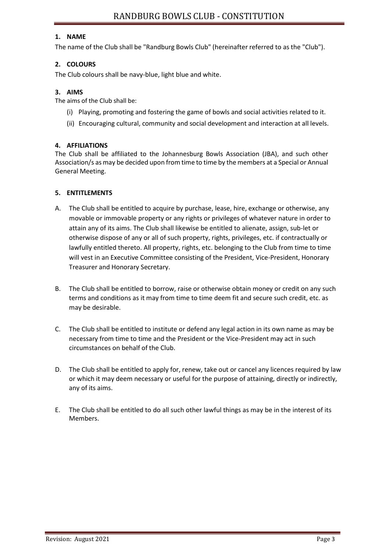#### **1. NAME**

The name of the Club shall be "Randburg Bowls Club" (hereinafter referred to as the "Club").

#### **2. COLOURS**

The Club colours shall be navy-blue, light blue and white.

#### **3. AIMS**

The aims of the Club shall be:

- (i) Playing, promoting and fostering the game of bowls and social activities related to it.
- (ii) Encouraging cultural, community and social development and interaction at all levels.

#### **4. AFFILIATIONS**

The Club shall be affiliated to the Johannesburg Bowls Association (JBA), and such other Association/s as may be decided upon from time to time by the members at a Special or Annual General Meeting.

#### **5. ENTITLEMENTS**

- A. The Club shall be entitled to acquire by purchase, lease, hire, exchange or otherwise, any movable or immovable property or any rights or privileges of whatever nature in order to attain any of its aims. The Club shall likewise be entitled to alienate, assign, sub-let or otherwise dispose of any or all of such property, rights, privileges, etc. if contractually or lawfully entitled thereto. All property, rights, etc. belonging to the Club from time to time will vest in an Executive Committee consisting of the President, Vice-President, Honorary Treasurer and Honorary Secretary.
- B. The Club shall be entitled to borrow, raise or otherwise obtain money or credit on any such terms and conditions as it may from time to time deem fit and secure such credit, etc. as may be desirable.
- C. The Club shall be entitled to institute or defend any legal action in its own name as may be necessary from time to time and the President or the Vice-President may act in such circumstances on behalf of the Club.
- D. The Club shall be entitled to apply for, renew, take out or cancel any licences required by law or which it may deem necessary or useful for the purpose of attaining, directly or indirectly, any of its aims.
- E. The Club shall be entitled to do all such other lawful things as may be in the interest of its Members.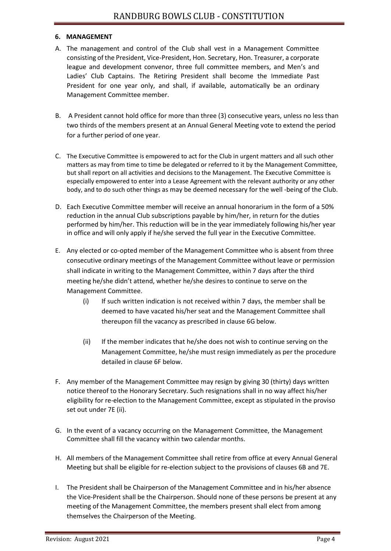#### **6. MANAGEMENT**

- A. The management and control of the Club shall vest in a Management Committee consisting of the President, Vice-President, Hon. Secretary, Hon. Treasurer, a corporate league and development convenor, three full committee members, and Men's and Ladies' Club Captains. The Retiring President shall become the Immediate Past President for one year only, and shall, if available, automatically be an ordinary Management Committee member.
- B. A President cannot hold office for more than three (3) consecutive years, unless no less than two thirds of the members present at an Annual General Meeting vote to extend the period for a further period of one year.
- C. The Executive Committee is empowered to act for the Club in urgent matters and all such other matters as may from time to time be delegated or referred to it by the Management Committee, but shall report on all activities and decisions to the Management. The Executive Committee is especially empowered to enter into a Lease Agreement with the relevant authority or any other body, and to do such other things as may be deemed necessary for the well -being of the Club.
- D. Each Executive Committee member will receive an annual honorarium in the form of a 50% reduction in the annual Club subscriptions payable by him/her, in return for the duties performed by him/her. This reduction will be in the year immediately following his/her year in office and will only apply if he/she served the full year in the Executive Committee.
- E. Any elected or co-opted member of the Management Committee who is absent from three consecutive ordinary meetings of the Management Committee without leave or permission shall indicate in writing to the Management Committee, within 7 days after the third meeting he/she didn't attend, whether he/she desires to continue to serve on the Management Committee.
	- (i) If such written indication is not received within 7 days, the member shall be deemed to have vacated his/her seat and the Management Committee shall thereupon fill the vacancy as prescribed in clause 6G below.
	- (ii) If the member indicates that he/she does not wish to continue serving on the Management Committee, he/she must resign immediately as per the procedure detailed in clause 6F below.
- F. Any member of the Management Committee may resign by giving 30 (thirty) days written notice thereof to the Honorary Secretary. Such resignations shall in no way affect his/her eligibility for re-election to the Management Committee, except as stipulated in the proviso set out under 7E (ii).
- G. In the event of a vacancy occurring on the Management Committee, the Management Committee shall fill the vacancy within two calendar months.
- H. All members of the Management Committee shall retire from office at every Annual General Meeting but shall be eligible for re-election subject to the provisions of clauses 6B and 7E.
- I. The President shall be Chairperson of the Management Committee and in his/her absence the Vice-President shall be the Chairperson. Should none of these persons be present at any meeting of the Management Committee, the members present shall elect from among themselves the Chairperson of the Meeting.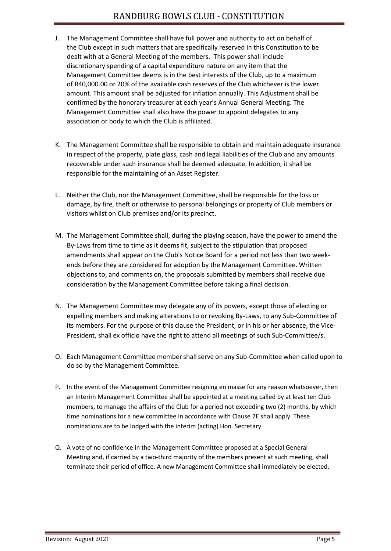- J. The Management Committee shall have full power and authority to act on behalf of the Club except in such matters that are specifically reserved in this Constitution to be dealt with at a General Meeting of the members. This power shall include discretionary spending of a capital expenditure nature on any item that the Management Committee deems is in the best interests of the Club, up to a maximum of R40,000.00 or 20% of the available cash reserves of the Club whichever is the lower amount. This amount shall be adjusted for inflation annually. This Adjustment shall be confirmed by the honorary treasurer at each year's Annual General Meeting. The Management Committee shall also have the power to appoint delegates to any association or body to which the Club is affiliated.
- K. The Management Committee shall be responsible to obtain and maintain adequate insurance in respect of the property, plate glass, cash and legal liabilities of the Club and any amounts recoverable under such insurance shall be deemed adequate. In addition, it shall be responsible for the maintaining of an Asset Register.
- L. Neither the Club, nor the Management Committee, shall be responsible for the loss or damage, by fire, theft or otherwise to personal belongings or property of Club members or visitors whilst on Club premises and/or its precinct.
- M. The Management Committee shall, during the playing season, have the power to amend the By-Laws from time to time as it deems fit, subject to the stipulation that proposed amendments shall appear on the Club's Notice Board for a period not less than two weekends before they are considered for adoption by the Management Committee. Written objections to, and comments on, the proposals submitted by members shall receive due consideration by the Management Committee before taking a final decision.
- N. The Management Committee may delegate any of its powers, except those of electing or expelling members and making alterations to or revoking By-Laws, to any Sub-Committee of its members. For the purpose of this clause the President, or in his or her absence, the Vice-President, shall ex officio have the right to attend all meetings of such Sub-Committee/s.
- O. Each Management Committee membershallserve on any Sub-Committee when called upon to do so by the Management Committee.
- P. In the event of the Management Committee resigning en masse for any reason whatsoever, then an Interim Management Committee shall be appointed at a meeting called by at least ten Club members, to manage the affairs of the Club for a period not exceeding two (2) months, by which time nominations for a new committee in accordance with Clause 7E shall apply. These nominations are to be lodged with the interim (acting) Hon. Secretary.
- Q. A vote of no confidence in the Management Committee proposed at a Special General Meeting and, if carried by a two-third majority of the members present at such meeting, shall terminate their period of office. A new Management Committee shall immediately be elected.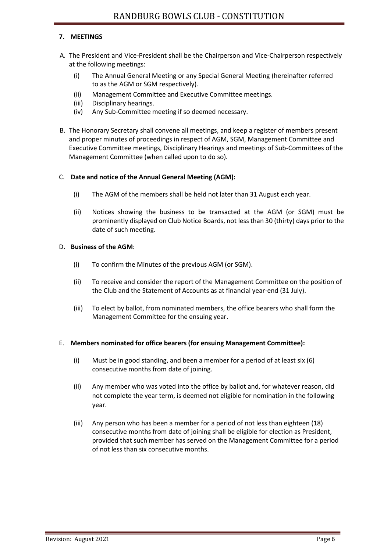#### **7. MEETINGS**

- A. The President and Vice-President shall be the Chairperson and Vice-Chairperson respectively at the following meetings:
	- (i) The Annual General Meeting or any Special General Meeting (hereinafter referred to as the AGM or SGM respectively).
	- (ii) Management Committee and Executive Committee meetings.
	- (iii) Disciplinary hearings.
	- (iv) Any Sub-Committee meeting if so deemed necessary.
- B. The Honorary Secretary shall convene all meetings, and keep a register of members present and proper minutes of proceedings in respect of AGM, SGM, Management Committee and Executive Committee meetings, Disciplinary Hearings and meetings of Sub-Committees of the Management Committee (when called upon to do so).

#### C. **Date and notice of the Annual General Meeting (AGM):**

- (i) The AGM of the members shall be held not later than 31 August each year.
- (ii) Notices showing the business to be transacted at the AGM (or SGM) must be prominently displayed on Club Notice Boards, not lessthan 30 (thirty) days prior to the date of such meeting.

#### D. **Business of the AGM**:

- (i) To confirm the Minutes of the previous AGM (or SGM).
- (ii) To receive and consider the report of the Management Committee on the position of the Club and the Statement of Accounts as at financial year-end (31 July).
- (iii) To elect by ballot, from nominated members, the office bearers who shall form the Management Committee for the ensuing year.

#### E. **Members nominated for office bearers (for ensuing Management Committee):**

- (i) Must be in good standing, and been a member for a period of at least six (6) consecutive months from date of joining.
- (ii) Any member who was voted into the office by ballot and, for whatever reason, did not complete the year term, is deemed not eligible for nomination in the following year.
- (iii) Any person who has been a member for a period of not less than eighteen (18) consecutive months from date of joining shall be eligible for election as President, provided that such member has served on the Management Committee for a period of not less than six consecutive months.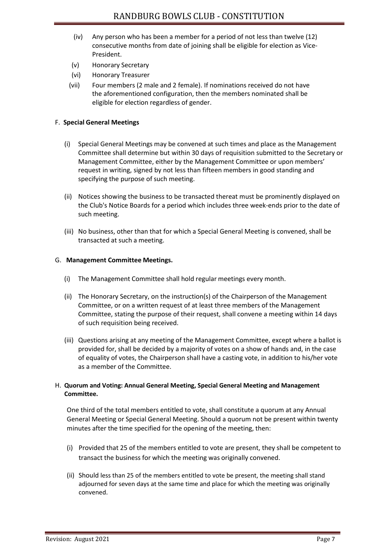- (iv) Any person who has been a member for a period of not less than twelve (12) consecutive months from date of joining shall be eligible for election as Vice-President.
- (v) Honorary Secretary
- (vi) Honorary Treasurer
- (vii) Four members (2 male and 2 female). If nominations received do not have the aforementioned configuration, then the members nominated shall be eligible for election regardless of gender.

#### F. **Special General Meetings**

- (i) Special General Meetings may be convened at such times and place as the Management Committee shall determine but within 30 days of requisition submitted to the Secretary or Management Committee, either by the Management Committee or upon members' request in writing, signed by not less than fifteen members in good standing and specifying the purpose of such meeting.
- (ii) Notices showing the business to be transacted thereat must be prominently displayed on the Club's Notice Boards for a period which includes three week-ends prior to the date of such meeting.
- (iii) No business, other than that for which a Special General Meeting is convened, shall be transacted at such a meeting.

#### G. **Management Committee Meetings.**

- (i) The Management Committee shall hold regular meetings every month.
- (ii) The Honorary Secretary, on the instruction(s) of the Chairperson of the Management Committee, or on a written request of at least three members of the Management Committee, stating the purpose of their request, shall convene a meeting within 14 days of such requisition being received.
- (iii) Questions arising at any meeting of the Management Committee, except where a ballot is provided for, shall be decided by a majority of votes on a show of hands and, in the case of equality of votes, the Chairperson shall have a casting vote, in addition to his/her vote as a member of the Committee.

#### H. **Quorum and Voting: Annual General Meeting, Special General Meeting and Management Committee.**

One third of the total members entitled to vote, shall constitute a quorum at any Annual General Meeting or Special General Meeting. Should a quorum not be present within twenty minutes after the time specified for the opening of the meeting, then:

- (i) Provided that 25 of the members entitled to vote are present, they shall be competent to transact the business for which the meeting was originally convened.
- (ii) Should less than 25 of the members entitled to vote be present, the meeting shall stand adjourned for seven days at the same time and place for which the meeting was originally convened.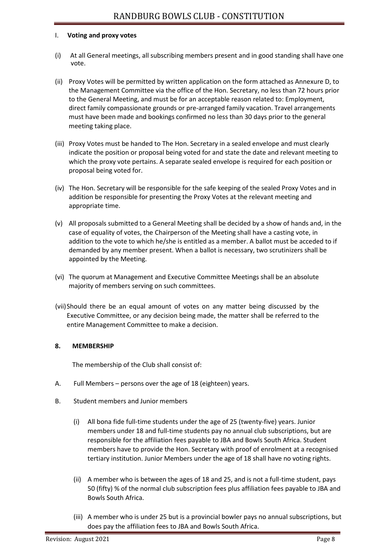#### I. **Voting and proxy votes**

- (i) At all General meetings, all subscribing members present and in good standing shall have one vote.
- (ii) Proxy Votes will be permitted by written application on the form attached as Annexure D, to the Management Committee via the office of the Hon. Secretary, no less than 72 hours prior to the General Meeting, and must be for an acceptable reason related to: Employment, direct family compassionate grounds or pre-arranged family vacation. Travel arrangements must have been made and bookings confirmed no less than 30 days prior to the general meeting taking place.
- (iii) Proxy Votes must be handed to The Hon. Secretary in a sealed envelope and must clearly indicate the position or proposal being voted for and state the date and relevant meeting to which the proxy vote pertains. A separate sealed envelope is required for each position or proposal being voted for.
- (iv) The Hon. Secretary will be responsible for the safe keeping of the sealed Proxy Votes and in addition be responsible for presenting the Proxy Votes at the relevant meeting and appropriate time.
- (v) All proposals submitted to a General Meeting shall be decided by a show of hands and, in the case of equality of votes, the Chairperson of the Meeting shall have a casting vote, in addition to the vote to which he/she is entitled as a member. A ballot must be acceded to if demanded by any member present. When a ballot is necessary, two scrutinizers shall be appointed by the Meeting.
- (vi) The quorum at Management and Executive Committee Meetings shall be an absolute majority of members serving on such committees.
- (vii)Should there be an equal amount of votes on any matter being discussed by the Executive Committee, or any decision being made, the matter shall be referred to the entire Management Committee to make a decision.

#### **8. MEMBERSHIP**

The membership of the Club shall consist of:

- A. Full Members persons over the age of 18 (eighteen) years.
- B. Student members and Junior members
	- (i) All bona fide full-time students under the age of 25 (twenty-five) years. Junior members under 18 and full-time students pay no annual club subscriptions, but are responsible for the affiliation fees payable to JBA and Bowls South Africa. Student members have to provide the Hon. Secretary with proof of enrolment at a recognised tertiary institution. Junior Members under the age of 18 shall have no voting rights.
	- (ii) A member who is between the ages of 18 and 25, and is not a full-time student, pays 50 (fifty) % of the normal club subscription fees plus affiliation fees payable to JBA and Bowls South Africa.
	- (iii) A member who is under 25 but is a provincial bowler pays no annual subscriptions, but does pay the affiliation fees to JBA and Bowls South Africa.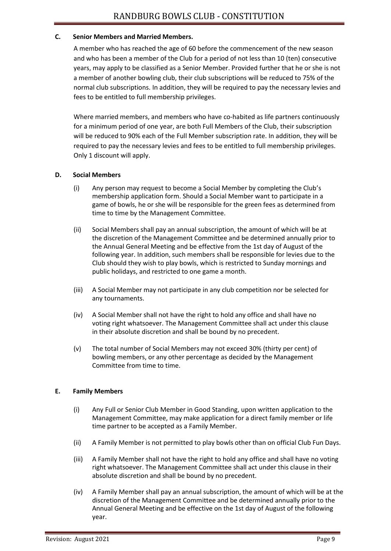#### **C. Senior Members and Married Members.**

A member who has reached the age of 60 before the commencement of the new season and who has been a member of the Club for a period of not less than 10 (ten) consecutive years, may apply to be classified as a Senior Member. Provided further that he or she is not a member of another bowling club, their club subscriptions will be reduced to 75% of the normal club subscriptions. In addition, they will be required to pay the necessary levies and fees to be entitled to full membership privileges.

Where married members, and members who have co-habited as life partners continuously for a minimum period of one year, are both Full Members of the Club, their subscription will be reduced to 90% each of the Full Member subscription rate. In addition, they will be required to pay the necessary levies and fees to be entitled to full membership privileges. Only 1 discount will apply.

#### **D. Social Members**

- (i) Any person may request to become a Social Member by completing the Club's membership application form. Should a Social Member want to participate in a game of bowls, he or she will be responsible for the green fees as determined from time to time by the Management Committee.
- (ii) Social Members shall pay an annual subscription, the amount of which will be at the discretion of the Management Committee and be determined annually prior to the Annual General Meeting and be effective from the 1st day of August of the following year. In addition, such members shall be responsible for levies due to the Club should they wish to play bowls, which is restricted to Sunday mornings and public holidays, and restricted to one game a month.
- (iii) A Social Member may not participate in any club competition nor be selected for any tournaments.
- (iv) A Social Member shall not have the right to hold any office and shall have no voting right whatsoever. The Management Committee shall act under this clause in their absolute discretion and shall be bound by no precedent.
- (v) The total number of Social Members may not exceed 30% (thirty per cent) of bowling members, or any other percentage as decided by the Management Committee from time to time.

#### **E. Family Members**

- (i) Any Full or Senior Club Member in Good Standing, upon written application to the Management Committee, may make application for a direct family member or life time partner to be accepted as a Family Member.
- (ii) A Family Member is not permitted to play bowls other than on official Club Fun Days.
- (iii) A Family Member shall not have the right to hold any office and shall have no voting right whatsoever. The Management Committee shall act under this clause in their absolute discretion and shall be bound by no precedent.
- (iv) A Family Member shall pay an annual subscription, the amount of which will be at the discretion of the Management Committee and be determined annually prior to the Annual General Meeting and be effective on the 1st day of August of the following year.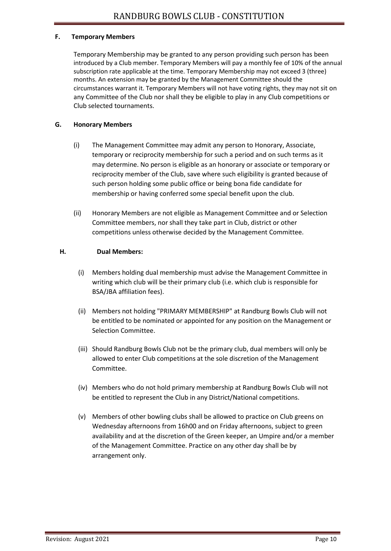#### **F. Temporary Members**

Temporary Membership may be granted to any person providing such person has been introduced by a Club member. Temporary Members will pay a monthly fee of 10% of the annual subscription rate applicable at the time. Temporary Membership may not exceed 3 (three) months. An extension may be granted by the Management Committee should the circumstances warrant it. Temporary Members will not have voting rights, they may not sit on any Committee of the Club nor shall they be eligible to play in any Club competitions or Club selected tournaments.

#### **G. Honorary Members**

- (i) The Management Committee may admit any person to Honorary, Associate, temporary or reciprocity membership for such a period and on such terms as it may determine. No person is eligible as an honorary or associate or temporary or reciprocity member of the Club, save where such eligibility is granted because of such person holding some public office or being bona fide candidate for membership or having conferred some special benefit upon the club.
- (ii) Honorary Members are not eligible as Management Committee and or Selection Committee members, nor shall they take part in Club, district or other competitions unless otherwise decided by the Management Committee.

#### **H. Dual Members:**

- (i) Members holding dual membership must advise the Management Committee in writing which club will be their primary club (i.e. which club is responsible for BSA/JBA affiliation fees).
- (ii) Members not holding "PRIMARY MEMBERSHIP" at Randburg Bowls Club will not be entitled to be nominated or appointed for any position on the Management or Selection Committee.
- (iii) Should Randburg Bowls Club not be the primary club, dual members will only be allowed to enter Club competitions at the sole discretion of the Management Committee.
- (iv) Members who do not hold primary membership at Randburg Bowls Club will not be entitled to represent the Club in any District/National competitions.
- (v) Members of other bowling clubs shall be allowed to practice on Club greens on Wednesday afternoons from 16h00 and on Friday afternoons, subject to green availability and at the discretion of the Green keeper, an Umpire and/or a member of the Management Committee. Practice on any other day shall be by arrangement only.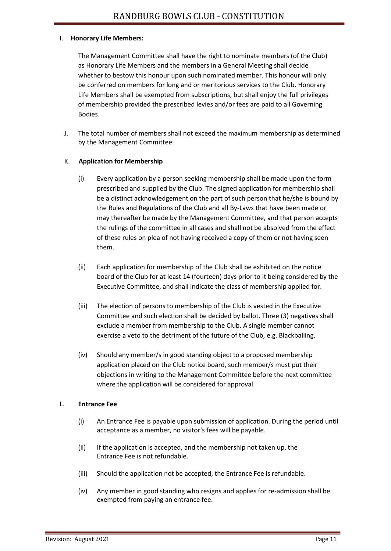#### I. **Honorary Life Members:**

The Management Committee shall have the right to nominate members (of the Club) as Honorary Life Members and the members in a General Meeting shall decide whether to bestow this honour upon such nominated member. This honour will only be conferred on members for long and or meritorious services to the Club. Honorary Life Members shall be exempted from subscriptions, but shall enjoy the full privileges of membership provided the prescribed levies and/or fees are paid to all Governing Bodies.

J. The total number of members shall not exceed the maximum membership as determined by the Management Committee.

#### K. **Application for Membership**

- (i) Every application by a person seeking membership shall be made upon the form prescribed and supplied by the Club. The signed application for membership shall be a distinct acknowledgement on the part of such person that he/she is bound by the Rules and Regulations of the Club and all By-Laws that have been made or may thereafter be made by the Management Committee, and that person accepts the rulings of the committee in all cases and shall not be absolved from the effect of these rules on plea of not having received a copy of them or not having seen them.
- (ii) Each application for membership of the Club shall be exhibited on the notice board of the Club for at least 14 (fourteen) days prior to it being considered by the Executive Committee, and shall indicate the class of membership applied for.
- (iii) The election of persons to membership of the Club is vested in the Executive Committee and such election shall be decided by ballot. Three (3) negatives shall exclude a member from membership to the Club. A single member cannot exercise a veto to the detriment of the future of the Club, e.g. Blackballing.
- (iv) Should any member/s in good standing object to a proposed membership application placed on the Club notice board, such member/s must put their objections in writing to the Management Committee before the next committee where the application will be considered for approval.

#### L. **Entrance Fee**

- (i) An Entrance Fee is payable upon submission of application. During the period until acceptance as a member, no visitor's fees will be payable.
- (ii) If the application is accepted, and the membership not taken up, the Entrance Fee is not refundable.
- (iii) Should the application not be accepted, the Entrance Fee is refundable.
- (iv) Any member in good standing who resigns and applies for re-admission shall be exempted from paying an entrance fee.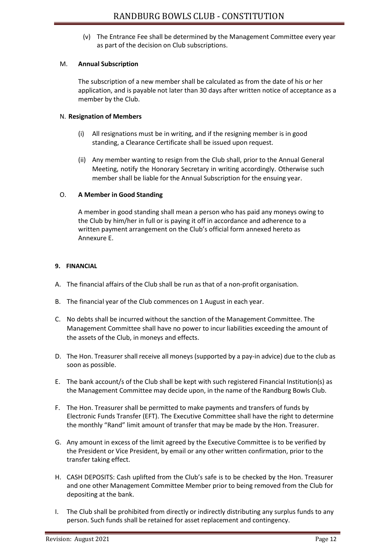(v) The Entrance Fee shall be determined by the Management Committee every year as part of the decision on Club subscriptions.

#### M. **Annual Subscription**

The subscription of a new member shall be calculated as from the date of his or her application, and is payable not later than 30 days after written notice of acceptance as a member by the Club.

#### N. **Resignation of Members**

- (i) All resignations must be in writing, and if the resigning member is in good standing, a Clearance Certificate shall be issued upon request.
- (ii) Any member wanting to resign from the Club shall, prior to the Annual General Meeting, notify the Honorary Secretary in writing accordingly. Otherwise such member shall be liable for the Annual Subscription for the ensuing year.

#### O. **A Member in Good Standing**

A member in good standing shall mean a person who has paid any moneys owing to the Club by him/her in full or is paying it off in accordance and adherence to a written payment arrangement on the Club's official form annexed hereto as Annexure E.

#### **9. FINANCIAL**

- A. The financial affairs of the Club shall be run as that of a non-profit organisation.
- B. The financial year of the Club commences on 1 August in each year.
- C. No debts shall be incurred without the sanction of the Management Committee. The Management Committee shall have no power to incur liabilities exceeding the amount of the assets of the Club, in moneys and effects.
- D. The Hon. Treasurer shall receive all moneys (supported by a pay-in advice) due to the club as soon as possible.
- E. The bank account/s of the Club shall be kept with such registered Financial Institution(s) as the Management Committee may decide upon, in the name of the Randburg Bowls Club.
- F. The Hon. Treasurer shall be permitted to make payments and transfers of funds by Electronic Funds Transfer (EFT). The Executive Committee shall have the right to determine the monthly "Rand" limit amount of transfer that may be made by the Hon. Treasurer.
- G. Any amount in excess of the limit agreed by the Executive Committee is to be verified by the President or Vice President, by email or any other written confirmation, prior to the transfer taking effect.
- H. CASH DEPOSITS: Cash uplifted from the Club's safe is to be checked by the Hon. Treasurer and one other Management Committee Member prior to being removed from the Club for depositing at the bank.
- I. The Club shall be prohibited from directly or indirectly distributing any surplus funds to any person. Such funds shall be retained for asset replacement and contingency.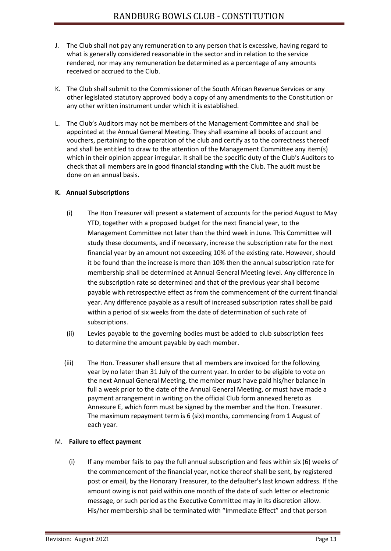- J. The Club shall not pay any remuneration to any person that is excessive, having regard to what is generally considered reasonable in the sector and in relation to the service rendered, nor may any remuneration be determined as a percentage of any amounts received or accrued to the Club.
- K. The Club shall submit to the Commissioner of the South African Revenue Services or any other legislated statutory approved body a copy of any amendments to the Constitution or any other written instrument under which it is established.
- L. The Club's Auditors may not be members of the Management Committee and shall be appointed at the Annual General Meeting. They shall examine all books of account and vouchers, pertaining to the operation of the club and certify as to the correctness thereof and shall be entitled to draw to the attention of the Management Committee any item(s) which in their opinion appear irregular. It shall be the specific duty of the Club's Auditors to check that all members are in good financial standing with the Club. The audit must be done on an annual basis.

#### **K. Annual Subscriptions**

- (i) The Hon Treasurer will present a statement of accounts for the period August to May YTD, together with a proposed budget for the next financial year, to the Management Committee not later than the third week in June. This Committee will study these documents, and if necessary, increase the subscription rate for the next financial year by an amount not exceeding 10% of the existing rate. However, should it be found than the increase is more than 10% then the annual subscription rate for membership shall be determined at Annual General Meeting level. Any difference in the subscription rate so determined and that of the previous year shall become payable with retrospective effect as from the commencement of the current financial year. Any difference payable as a result of increased subscription rates shall be paid within a period of six weeks from the date of determination of such rate of subscriptions.
- (ii) Levies payable to the governing bodies must be added to club subscription fees to determine the amount payable by each member.
- (iii) The Hon. Treasurer shall ensure that all members are invoiced for the following year by no later than 31 July of the current year. In order to be eligible to vote on the next Annual General Meeting, the member must have paid his/her balance in full a week prior to the date of the Annual General Meeting, or must have made a payment arrangement in writing on the official Club form annexed hereto as Annexure E, which form must be signed by the member and the Hon. Treasurer. The maximum repayment term is 6 (six) months, commencing from 1 August of each year.

#### M. **Failure to effect payment**

(i) If any member fails to pay the full annual subscription and fees within six  $(6)$  weeks of the commencement of the financial year, notice thereof shall be sent, by registered post or email, by the Honorary Treasurer, to the defaulter's last known address. If the amount owing is not paid within one month of the date of such letter or electronic message, or such period as the Executive Committee may in its discretion allow. His/her membership shall be terminated with "Immediate Effect" and that person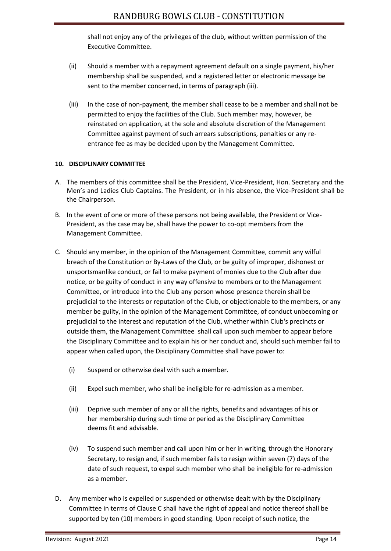shall not enjoy any of the privileges of the club, without written permission of the Executive Committee.

- (ii) Should a member with a repayment agreement default on a single payment, his/her membership shall be suspended, and a registered letter or electronic message be sent to the member concerned, in terms of paragraph (iii).
- (iii) In the case of non-payment, the member shall cease to be a member and shall not be permitted to enjoy the facilities of the Club. Such member may, however, be reinstated on application, at the sole and absolute discretion of the Management Committee against payment of such arrears subscriptions, penalties or any reentrance fee as may be decided upon by the Management Committee.

#### **10. DISCIPLINARY COMMITTEE**

- A. The members of this committee shall be the President, Vice-President, Hon. Secretary and the Men's and Ladies Club Captains. The President, or in his absence, the Vice-President shall be the Chairperson.
- B. In the event of one or more of these persons not being available, the President or Vice-President, as the case may be, shall have the power to co-opt members from the Management Committee.
- C. Should any member, in the opinion of the Management Committee, commit any wilful breach of the Constitution or By-Laws of the Club, or be guilty of improper, dishonest or unsportsmanlike conduct, or fail to make payment of monies due to the Club after due notice, or be guilty of conduct in any way offensive to members or to the Management Committee, or introduce into the Club any person whose presence therein shall be prejudicial to the interests or reputation of the Club, or objectionable to the members, or any member be guilty, in the opinion of the Management Committee, of conduct unbecoming or prejudicial to the interest and reputation of the Club, whether within Club's precincts or outside them, the Management Committee shall call upon such member to appear before the Disciplinary Committee and to explain his or her conduct and, should such member fail to appear when called upon, the Disciplinary Committee shall have power to:
	- (i) Suspend or otherwise deal with such a member.
	- (ii) Expel such member, who shall be ineligible for re-admission as a member.
	- (iii) Deprive such member of any or all the rights, benefits and advantages of his or her membership during such time or period as the Disciplinary Committee deems fit and advisable.
	- (iv) To suspend such member and call upon him or her in writing, through the Honorary Secretary, to resign and, if such member fails to resign within seven (7) days of the date of such request, to expel such member who shall be ineligible for re-admission as a member.
- D. Any member who is expelled or suspended or otherwise dealt with by the Disciplinary Committee in terms of Clause C shall have the right of appeal and notice thereof shall be supported by ten (10) members in good standing. Upon receipt of such notice, the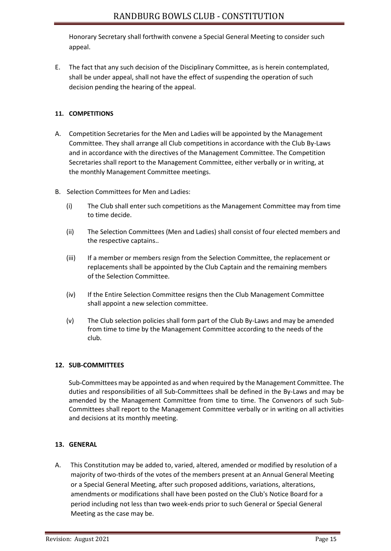Honorary Secretary shall forthwith convene a Special General Meeting to consider such appeal.

E. The fact that any such decision of the Disciplinary Committee, as is herein contemplated, shall be under appeal, shall not have the effect of suspending the operation of such decision pending the hearing of the appeal.

#### **11. COMPETITIONS**

- A. Competition Secretaries for the Men and Ladies will be appointed by the Management Committee. They shall arrange all Club competitions in accordance with the Club By-Laws and in accordance with the directives of the Management Committee. The Competition Secretaries shall report to the Management Committee, either verbally or in writing, at the monthly Management Committee meetings.
- B. Selection Committees for Men and Ladies:
	- (i) The Club shall enter such competitions as the Management Committee may from time to time decide.
	- (ii) The Selection Committees (Men and Ladies) shall consist of four elected members and the respective captains..
	- (iii) If a member or members resign from the Selection Committee, the replacement or replacements shall be appointed by the Club Captain and the remaining members of the Selection Committee.
	- (iv) If the Entire Selection Committee resigns then the Club Management Committee shall appoint a new selection committee.
	- (v) The Club selection policies shall form part of the Club By-Laws and may be amended from time to time by the Management Committee according to the needs of the club.

#### **12. SUB-COMMITTEES**

Sub-Committees may be appointed as and when required by the Management Committee. The duties and responsibilities of all Sub-Committees shall be defined in the By-Laws and may be amended by the Management Committee from time to time. The Convenors of such Sub-Committees shall report to the Management Committee verbally or in writing on all activities and decisions at its monthly meeting.

#### **13. GENERAL**

A. This Constitution may be added to, varied, altered, amended or modified by resolution of a majority of two-thirds of the votes of the members present at an Annual General Meeting or a Special General Meeting, after such proposed additions, variations, alterations, amendments or modifications shall have been posted on the Club's Notice Board for a period including not less than two week-ends prior to such General or Special General Meeting as the case may be.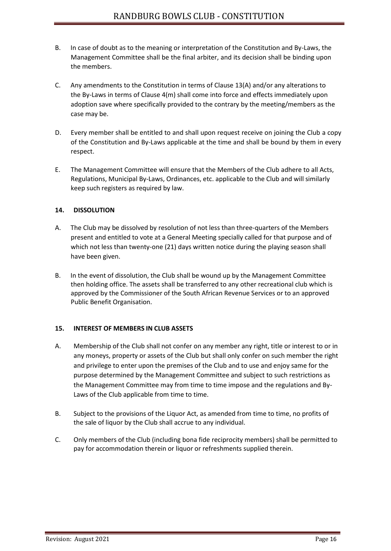- B. In case of doubt as to the meaning or interpretation of the Constitution and By-Laws, the Management Committee shall be the final arbiter, and its decision shall be binding upon the members.
- C. Any amendments to the Constitution in terms of Clause 13(A) and/or any alterations to the By-Laws in terms of Clause 4(m) shall come into force and effects immediately upon adoption save where specifically provided to the contrary by the meeting/members as the case may be.
- D. Every member shall be entitled to and shall upon request receive on joining the Club a copy of the Constitution and By-Laws applicable at the time and shall be bound by them in every respect.
- E. The Management Committee will ensure that the Members of the Club adhere to all Acts, Regulations, Municipal By-Laws, Ordinances, etc. applicable to the Club and will similarly keep such registers as required by law.

#### **14. DISSOLUTION**

- A. The Club may be dissolved by resolution of not less than three-quarters of the Members present and entitled to vote at a General Meeting specially called for that purpose and of which not less than twenty-one (21) days written notice during the playing season shall have been given.
- B. In the event of dissolution, the Club shall be wound up by the Management Committee then holding office. The assets shall be transferred to any other recreational club which is approved by the Commissioner of the South African Revenue Services or to an approved Public Benefit Organisation.

#### **15. INTEREST OF MEMBERS IN CLUB ASSETS**

- A. Membership of the Club shall not confer on any member any right, title or interest to or in any moneys, property or assets of the Club but shall only confer on such member the right and privilege to enter upon the premises of the Club and to use and enjoy same for the purpose determined by the Management Committee and subject to such restrictions as the Management Committee may from time to time impose and the regulations and By-Laws of the Club applicable from time to time.
- B. Subject to the provisions of the Liquor Act, as amended from time to time, no profits of the sale of liquor by the Club shall accrue to any individual.
- C. Only members of the Club (including bona fide reciprocity members) shall be permitted to pay for accommodation therein or liquor or refreshments supplied therein.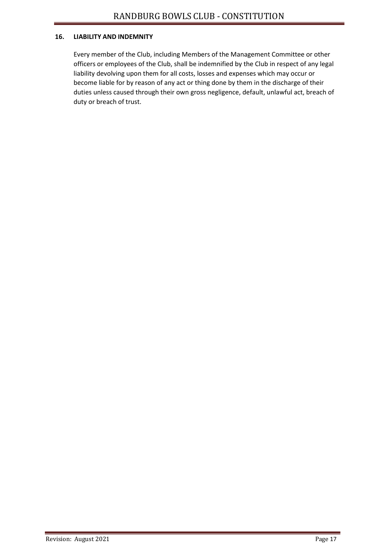#### **16. LIABILITY AND INDEMNITY**

Every member of the Club, including Members of the Management Committee or other officers or employees of the Club, shall be indemnified by the Club in respect of any legal liability devolving upon them for all costs, losses and expenses which may occur or become liable for by reason of any act or thing done by them in the discharge of their duties unless caused through their own gross negligence, default, unlawful act, breach of duty or breach of trust.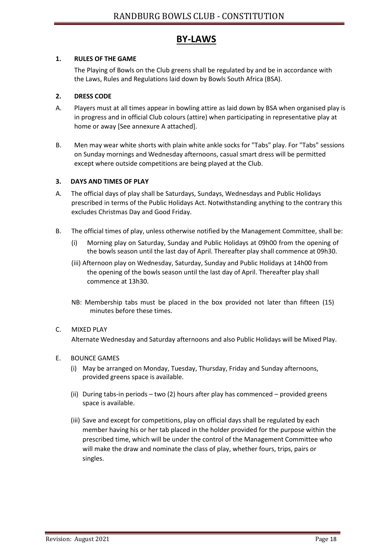# **BY-LAWS**

#### **1. RULES OF THE GAME**

The Playing of Bowls on the Club greens shall be regulated by and be in accordance with the Laws, Rules and Regulations laid down by Bowls South Africa (BSA).

#### **2. DRESS CODE**

- A. Players must at all times appear in bowling attire as laid down by BSA when organised play is in progress and in official Club colours (attire) when participating in representative play at home or away [See annexure A attached].
- B. Men may wear white shorts with plain white ankle socks for "Tabs" play. For "Tabs" sessions on Sunday mornings and Wednesday afternoons, casual smart dress will be permitted except where outside competitions are being played at the Club.

#### **3. DAYS AND TIMES OF PLAY**

- A. The official days of play shall be Saturdays, Sundays, Wednesdays and Public Holidays prescribed in terms of the Public Holidays Act. Notwithstanding anything to the contrary this excludes Christmas Day and Good Friday.
- B. The official times of play, unless otherwise notified by the Management Committee, shall be:
	- (i) Morning play on Saturday, Sunday and Public Holidays at 09h00 from the opening of the bowls season until the last day of April. Thereafter play shall commence at 09h30.
	- (iii) Afternoon play on Wednesday, Saturday, Sunday and Public Holidays at 14h00 from the opening of the bowls season until the last day of April. Thereafter play shall commence at 13h30.
	- NB: Membership tabs must be placed in the box provided not later than fifteen (15) minutes before these times.

#### C. MIXED PLAY

Alternate Wednesday and Saturday afternoons and also Public Holidays will be Mixed Play.

#### E. BOUNCE GAMES

- (i) May be arranged on Monday, Tuesday, Thursday, Friday and Sunday afternoons, provided greens space is available.
- (ii) During tabs-in periods two (2) hours after play has commenced provided greens space is available.
- (iii) Save and except for competitions, play on official days shall be regulated by each member having his or her tab placed in the holder provided for the purpose within the prescribed time, which will be under the control of the Management Committee who will make the draw and nominate the class of play, whether fours, trips, pairs or singles.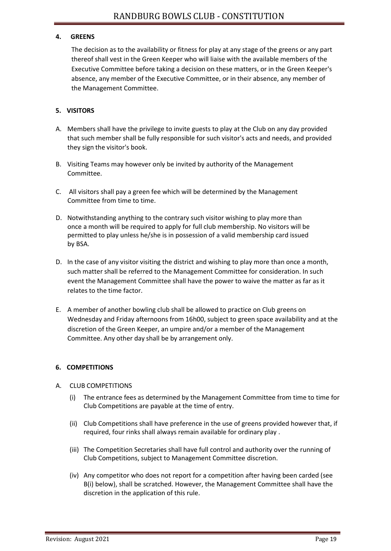#### **4. GREENS**

The decision as to the availability or fitness for play at any stage of the greens or any part thereof shall vest in the Green Keeper who will liaise with the available members of the Executive Committee before taking a decision on these matters, or in the Green Keeper's absence, any member of the Executive Committee, or in their absence, any member of the Management Committee.

#### **5. VISITORS**

- A. Members shall have the privilege to invite guests to play at the Club on any day provided that such member shall be fully responsible for such visitor's acts and needs, and provided they sign the visitor's book.
- B. Visiting Teams may however only be invited by authority of the Management Committee.
- C. All visitors shall pay a green fee which will be determined by the Management Committee from time to time.
- D. Notwithstanding anything to the contrary such visitor wishing to play more than once a month will be required to apply for full club membership. No visitors will be permitted to play unless he/she is in possession of a valid membership card issued by BSA.
- D. In the case of any visitor visiting the district and wishing to play more than once a month, such matter shall be referred to the Management Committee for consideration. In such event the Management Committee shall have the power to waive the matter as far as it relates to the time factor.
- E. A member of another bowling club shall be allowed to practice on Club greens on Wednesday and Friday afternoons from 16h00, subject to green space availability and at the discretion of the Green Keeper, an umpire and/or a member of the Management Committee. Any other day shall be by arrangement only.

#### **6. COMPETITIONS**

- A. CLUB COMPETITIONS
	- (i) The entrance fees as determined by the Management Committee from time to time for Club Competitions are payable at the time of entry.
	- (ii) Club Competitions shall have preference in the use of greens provided however that, if required, four rinks shall always remain available for ordinary play .
	- (iii) The Competition Secretaries shall have full control and authority over the running of Club Competitions, subject to Management Committee discretion.
	- (iv) Any competitor who does not report for a competition after having been carded (see B(i) below), shall be scratched. However, the Management Committee shall have the discretion in the application of this rule.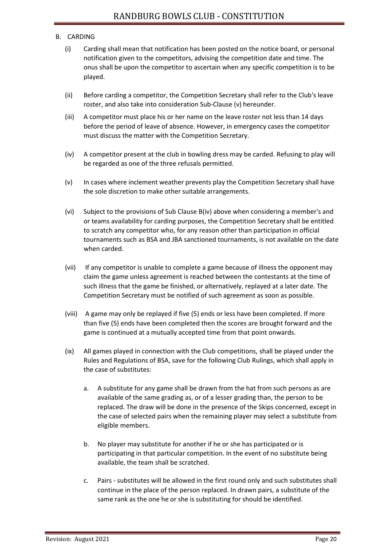#### B. CARDING

- (i) Carding shall mean that notification has been posted on the notice board, or personal notification given to the competitors, advising the competition date and time. The onus shall be upon the competitor to ascertain when any specific competition is to be played.
- (ii) Before carding a competitor, the Competition Secretary shall refer to the Club's leave roster, and also take into consideration Sub-Clause (v) hereunder.
- (iii) A competitor must place his or her name on the leave roster not less than 14 days before the period of leave of absence. However, in emergency cases the competitor must discuss the matter with the Competition Secretary.
- (iv) A competitor present at the club in bowling dress may be carded. Refusing to play will be regarded as one of the three refusals permitted.
- (v) In cases where inclement weather prevents play the Competition Secretary shall have the sole discretion to make other suitable arrangements.
- (vi) Subject to the provisions of Sub Clause B(iv) above when considering a member's and or teams availability for carding purposes, the Competition Secretary shall be entitled to scratch any competitor who, for any reason other than participation in official tournaments such as BSA and JBA sanctioned tournaments, is not available on the date when carded.
- (vii) If any competitor is unable to complete a game because of illness the opponent may claim the game unless agreement is reached between the contestants at the time of such illness that the game be finished, or alternatively, replayed at a later date. The Competition Secretary must be notified of such agreement as soon as possible.
- (viii) A game may only be replayed if five (5) ends or less have been completed. If more than five (5) ends have been completed then the scores are brought forward and the game is continued at a mutually accepted time from that point onwards.
- (ix) All games played in connection with the Club competitions, shall be played under the Rules and Regulations of BSA, save for the following Club Rulings, which shall apply in the case of substitutes:
	- a. A substitute for any game shall be drawn from the hat from such persons as are available of the same grading as, or of a lesser grading than, the person to be replaced. The draw will be done in the presence of the Skips concerned, except in the case of selected pairs when the remaining player may select a substitute from eligible members.
	- b. No player may substitute for another if he or she has participated or is participating in that particular competition. In the event of no substitute being available, the team shall be scratched.
	- c. Pairs substitutes will be allowed in the first round only and such substitutes shall continue in the place of the person replaced. In drawn pairs, a substitute of the same rank as the one he or she is substituting for should be identified.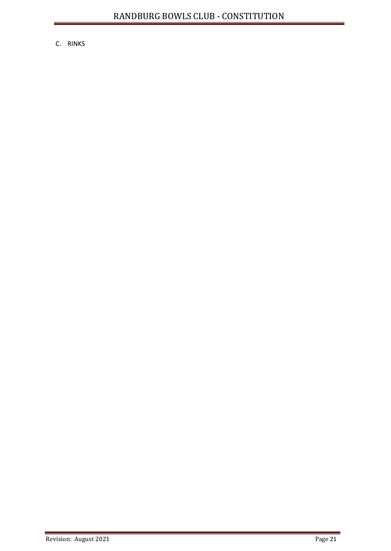C. RINKS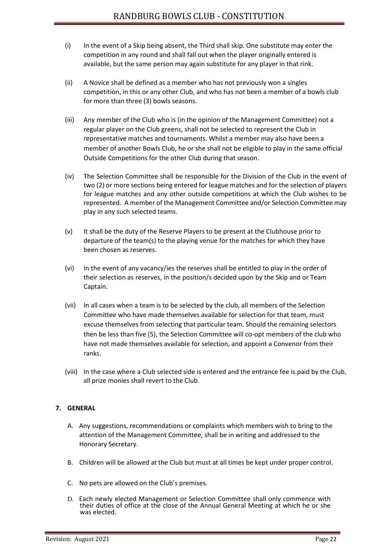- (i) In the event of a Skip being absent, the Third shall skip. One substitute may enter the competition in any round and shall fall out when the player originally entered is available, but the same person may again substitute for any player in that rink.
- (ii) A Novice shall be defined as a member who has not previously won a singles competition, in this or any other Club, and who has not been a member of a bowls club for more than three (3) bowls seasons.
- (iii) Any member of the Club who is (in the opinion of the Management Committee) not a regular player on the Club greens, shall not be selected to represent the Club in representative matches and tournaments. Whilst a member may also have been a member of another Bowls Club, he or she shall not be eligible to play in the same official Outside Competitions for the other Club during that season.
- (iv) The Selection Committee shall be responsible for the Division of the Club in the event of two (2) or more sections being entered for league matches and for the selection of players for league matches and any other outside competitions at which the Club wishes to be represented. A member of the Management Committee and/or Selection Committee may play in any such selected teams.
- (v) It shall be the duty of the Reserve Players to be present at the Clubhouse prior to departure of the team(s) to the playing venue for the matches for which they have been chosen as reserves.
- (vi) In the event of any vacancy/ies the reserves shall be entitled to play in the order of their selection as reserves, in the position/s decided upon by the Skip and or Team Captain.
- (vii) In all cases when a team is to be selected by the club, all members of the Selection Committee who have made themselves available for selection for that team, must excuse themselves from selecting that particular team. Should the remaining selectors then be less than five (5), the Selection Committee will co-opt members of the club who have not made themselves available for selection, and appoint a Convenor from their ranks.
- (viii) In the case where a Club selected side is entered and the entrance fee is paid by the Club, all prize monies shall revert to the Club.

#### **7. GENERAL**

- A. Any suggestions, recommendations or complaints which members wish to bring to the attention of the Management Committee, shall be in writing and addressed to the Honorary Secretary.
- B. Children will be allowed at the Club but must at all times be kept under proper control.
- C. No pets are allowed on the Club's premises.
- D. Each newly elected Management or Selection Committee shall only commence with their duties of office at the close of the Annual General Meeting at which he or she was elected.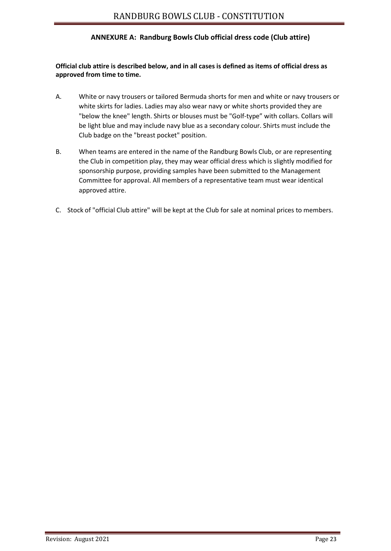#### **ANNEXURE A: Randburg Bowls Club official dress code (Club attire)**

#### **Official club attire is described below, and in all cases is defined as items of official dress as approved from time to time.**

- A. White or navy trousers or tailored Bermuda shorts for men and white or navy trousers or white skirts for ladies. Ladies may also wear navy or white shorts provided they are "below the knee" length. Shirts or blouses must be "Golf-type" with collars. Collars will be light blue and may include navy blue as a secondary colour. Shirts must include the Club badge on the "breast pocket" position.
- B. When teams are entered in the name of the Randburg Bowls Club, or are representing the Club in competition play, they may wear official dress which is slightly modified for sponsorship purpose, providing samples have been submitted to the Management Committee for approval. All members of a representative team must wear identical approved attire.
- C. Stock of "official Club attire" will be kept at the Club for sale at nominal prices to members.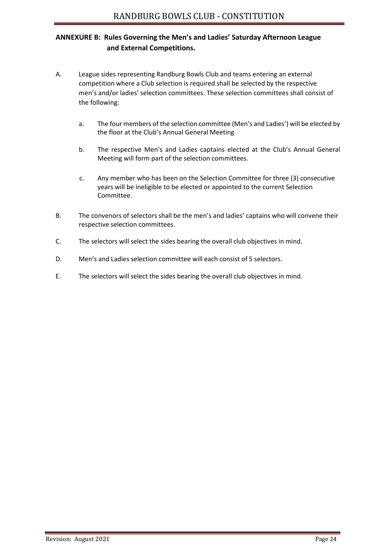## **ANNEXURE B: Rules Governing the Men's and Ladies' Saturday Afternoon League and External Competitions.**

- A. League sides representing Randburg Bowls Club and teams entering an external competition where a Club selection is required shall be selected by the respective men's and/or ladies' selection committees. These selection committees shall consist of the following:
	- a. The four members of the selection committee (Men's and Ladies') will be elected by the floor at the Club's Annual General Meeting
	- b. The respective Men's and Ladies captains elected at the Club's Annual General Meeting will form part of the selection committees.
	- c. Any member who has been on the Selection Committee for three (3) consecutive years will be ineligible to be elected or appointed to the current Selection Committee.
- B. The convenors of selectors shall be the men's and ladies' captains who will convene their respective selection committees.
- C. The selectors will select the sides bearing the overall club objectives in mind.
- D. Men's and Ladies selection committee will each consist of 5 selectors.
- E. The selectors will select the sides bearing the overall club objectives in mind.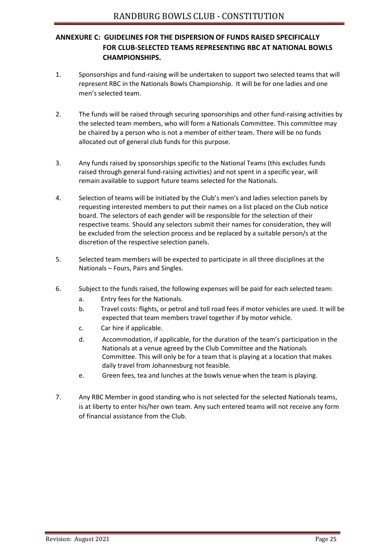## **ANNEXURE C: GUIDELINES FOR THE DISPERSION OF FUNDS RAISED SPECIFICALLY FOR CLUB-SELECTED TEAMS REPRESENTING RBC AT NATIONAL BOWLS CHAMPIONSHIPS.**

- 1. Sponsorships and fund-raising will be undertaken to support two selected teams that will represent RBC in the Nationals Bowls Championship. It will be for one ladies and one men's selected team.
- 2. The funds will be raised through securing sponsorships and other fund-raising activities by the selected team members, who will form a Nationals Committee. This committee may be chaired by a person who is not a member of either team. There will be no funds allocated out of general club funds for this purpose.
- 3. Any funds raised by sponsorships specific to the National Teams (this excludes funds raised through general fund-raising activities) and not spent in a specific year, will remain available to support future teams selected for the Nationals.
- 4. Selection of teams will be initiated by the Club's men's and ladies selection panels by requesting interested members to put their names on a list placed on the Club notice board. The selectors of each gender will be responsible for the selection of their respective teams. Should any selectors submit their names for consideration, they will be excluded from the selection process and be replaced by a suitable person/s at the discretion of the respective selection panels.
- 5. Selected team members will be expected to participate in all three disciplines at the Nationals – Fours, Pairs and Singles.
- 6. Subject to the funds raised, the following expenses will be paid for each selected team:
	- a. Entry fees for the Nationals.
	- b. Travel costs: flights, or petrol and toll road fees if motor vehicles are used. It will be expected that team members travel together if by motor vehicle.
	- c. Car hire if applicable.
	- d. Accommodation, if applicable, for the duration of the team's participation in the Nationals at a venue agreed by the Club Committee and the Nationals Committee. This will only be for a team that is playing at a location that makes daily travel from Johannesburg not feasible.
	- e. Green fees, tea and lunches at the bowls venue when the team is playing.
- 7. Any RBC Member in good standing who is not selected for the selected Nationals teams, is at liberty to enter his/her own team. Any such entered teams will not receive any form of financial assistance from the Club.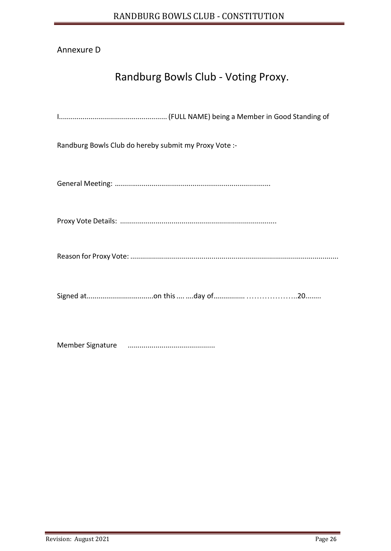# Annexure D

# Randburg Bowls Club - Voting Proxy.

| Randburg Bowls Club do hereby submit my Proxy Vote :- |
|-------------------------------------------------------|
|                                                       |
|                                                       |
|                                                       |
|                                                       |
|                                                       |

Member Signature ............................................